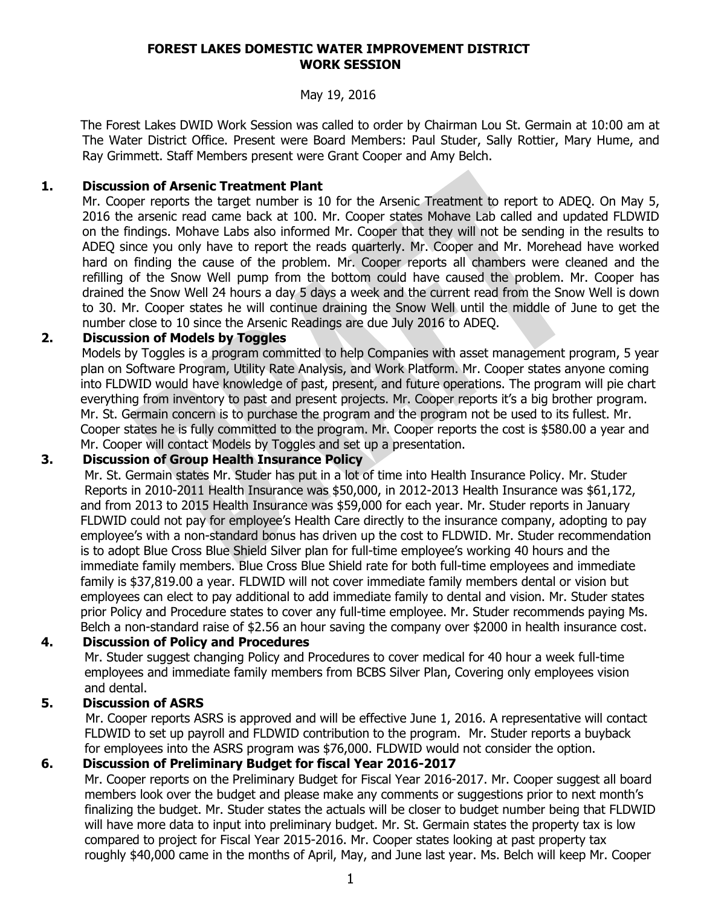#### **FOREST LAKES DOMESTIC WATER IMPROVEMENT DISTRICT WORK SESSION**

#### May 19, 2016

 The Forest Lakes DWID Work Session was called to order by Chairman Lou St. Germain at 10:00 am at The Water District Office. Present were Board Members: Paul Studer, Sally Rottier, Mary Hume, and Ray Grimmett. Staff Members present were Grant Cooper and Amy Belch.

#### **1. Discussion of Arsenic Treatment Plant**

Mr. Cooper reports the target number is 10 for the Arsenic Treatment to report to ADEQ. On May 5, 2016 the arsenic read came back at 100. Mr. Cooper states Mohave Lab called and updated FLDWID on the findings. Mohave Labs also informed Mr. Cooper that they will not be sending in the results to ADEQ since you only have to report the reads quarterly. Mr. Cooper and Mr. Morehead have worked hard on finding the cause of the problem. Mr. Cooper reports all chambers were cleaned and the refilling of the Snow Well pump from the bottom could have caused the problem. Mr. Cooper has drained the Snow Well 24 hours a day 5 days a week and the current read from the Snow Well is down to 30. Mr. Cooper states he will continue draining the Snow Well until the middle of June to get the number close to 10 since the Arsenic Readings are due July 2016 to ADEQ.

#### **2. Discussion of Models by Toggles**

Models by Toggles is a program committed to help Companies with asset management program, 5 year plan on Software Program, Utility Rate Analysis, and Work Platform. Mr. Cooper states anyone coming into FLDWID would have knowledge of past, present, and future operations. The program will pie chart everything from inventory to past and present projects. Mr. Cooper reports it's a big brother program. Mr. St. Germain concern is to purchase the program and the program not be used to its fullest. Mr. Cooper states he is fully committed to the program. Mr. Cooper reports the cost is \$580.00 a year and Mr. Cooper will contact Models by Toggles and set up a presentation.

# **3. Discussion of Group Health Insurance Policy**

 Mr. St. Germain states Mr. Studer has put in a lot of time into Health Insurance Policy. Mr. Studer Reports in 2010-2011 Health Insurance was \$50,000, in 2012-2013 Health Insurance was \$61,172, and from 2013 to 2015 Health Insurance was \$59,000 for each year. Mr. Studer reports in January FLDWID could not pay for employee's Health Care directly to the insurance company, adopting to pay employee's with a non-standard bonus has driven up the cost to FLDWID. Mr. Studer recommendation is to adopt Blue Cross Blue Shield Silver plan for full-time employee's working 40 hours and the immediate family members. Blue Cross Blue Shield rate for both full-time employees and immediate family is \$37,819.00 a year. FLDWID will not cover immediate family members dental or vision but employees can elect to pay additional to add immediate family to dental and vision. Mr. Studer states prior Policy and Procedure states to cover any full-time employee. Mr. Studer recommends paying Ms. Belch a non-standard raise of \$2.56 an hour saving the company over \$2000 in health insurance cost.

# **4. Discussion of Policy and Procedures**

 Mr. Studer suggest changing Policy and Procedures to cover medical for 40 hour a week full-time employees and immediate family members from BCBS Silver Plan, Covering only employees vision and dental.

# **5. Discussion of ASRS**

Mr. Cooper reports ASRS is approved and will be effective June 1, 2016. A representative will contact FLDWID to set up payroll and FLDWID contribution to the program. Mr. Studer reports a buyback for employees into the ASRS program was \$76,000. FLDWID would not consider the option.

# **6. Discussion of Preliminary Budget for fiscal Year 2016-2017**

 Mr. Cooper reports on the Preliminary Budget for Fiscal Year 2016-2017. Mr. Cooper suggest all board members look over the budget and please make any comments or suggestions prior to next month's finalizing the budget. Mr. Studer states the actuals will be closer to budget number being that FLDWID will have more data to input into preliminary budget. Mr. St. Germain states the property tax is low compared to project for Fiscal Year 2015-2016. Mr. Cooper states looking at past property tax roughly \$40,000 came in the months of April, May, and June last year. Ms. Belch will keep Mr. Cooper